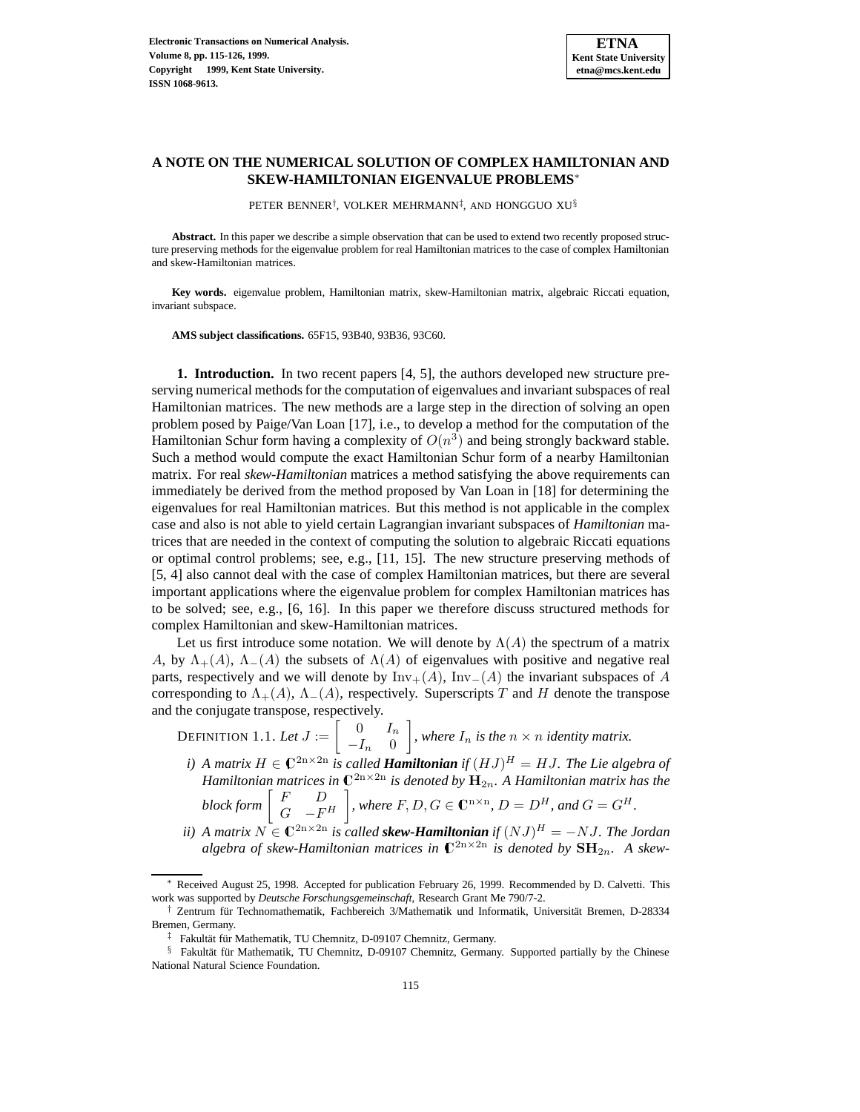# **A NOTE ON THE NUMERICAL SOLUTION OF COMPLEX HAMILTONIAN AND SKEW-HAMILTONIAN EIGENVALUE PROBLEMS**<sup>∗</sup>

PETER BENNER†, VOLKER MEHRMANN‡, AND HONGGUO XU§

**Abstract.** In this paper we describe a simple observation that can be used to extend two recently proposed structure preserving methods for the eigenvalue problem for real Hamiltonian matrices to the case of complex Hamiltonian and skew-Hamiltonian matrices.

**Key words.** eigenvalue problem, Hamiltonian matrix, skew-Hamiltonian matrix, algebraic Riccati equation, invariant subspace.

**AMS subject classifications.** 65F15, 93B40, 93B36, 93C60.

**1. Introduction.** In two recent papers [4, 5], the authors developed new structure preserving numerical methods for the computation of eigenvalues and invariant subspaces of real Hamiltonian matrices. The new methods are a large step in the direction of solving an open problem posed by Paige/Van Loan [17], i.e., to develop a method for the computation of the Hamiltonian Schur form having a complexity of  $O(n^3)$  and being strongly backward stable. Such a method would compute the exact Hamiltonian Schur form of a nearby Hamiltonian matrix. For real *skew-Hamiltonian* matrices a method satisfying the above requirements can immediately be derived from the method proposed by Van Loan in [18] for determining the eigenvalues for real Hamiltonian matrices. But this method is not applicable in the complex case and also is not able to yield certain Lagrangian invariant subspaces of *Hamiltonian* matrices that are needed in the context of computing the solution to algebraic Riccati equations or optimal control problems; see, e.g., [11, 15]. The new structure preserving methods of [5, 4] also cannot deal with the case of complex Hamiltonian matrices, but there are several important applications where the eigenvalue problem for complex Hamiltonian matrices has to be solved; see, e.g., [6, 16]. In this paper we therefore discuss structured methods for complex Hamiltonian and skew-Hamiltonian matrices.

Let us first introduce some notation. We will denote by  $\Lambda(A)$  the spectrum of a matrix A, by  $\Lambda_{+}(A)$ ,  $\Lambda_{-}(A)$  the subsets of  $\Lambda(A)$  of eigenvalues with positive and negative real parts, respectively and we will denote by  $\text{Inv}_{+}(A)$ ,  $\text{Inv}_{-}(A)$  the invariant subspaces of A corresponding to  $\Lambda_{+}(A)$ ,  $\Lambda_{-}(A)$ , respectively. Superscripts T and H denote the transpose and the conjugate transpose, respectively.

Definition 1.1. Let  $J:=\left[\begin{array}{cc} 0 & I_n\ -I_n & 0 \end{array}\right]$ 1 *, where*  $I_n$  *is the*  $n \times n$  *identity matrix.* 

- *i*) A matrix  $H \in \mathbb{C}^{2n \times 2n}$  *is called Hamiltonian if*  $(HJ)^H = HJ$ *. The Lie algebra of Hamiltonian matrices in*  $\mathbb{C}^{2n \times 2n}$  *is denoted by*  $\mathbf{H}_{2n}$ *. A Hamiltonian matrix has the*  $blockform \left[ \begin{array}{cc} F & D \\ G & -F^H \end{array} \right]$ *, where*  $F, D, G \in \mathbb{C}^{n \times n}$ ,  $D = D^H$ , and  $G = G^H$ .
- *ii*) A matrix  $N \in \mathbb{C}^{2n \times 2n}$  *is called skew-Hamiltonian if*  $(NJ)^H = -NJ$ *. The Jordan* algebra of skew-Hamiltonian matrices in  $\mathbb{C}^{2n\times 2n}$  *is denoted by*  $\mathbf{SH}_{2n}$ *. A skew-*

Received August 25, 1998. Accepted for publication February 26, 1999. Recommended by D. Calvetti. This work was supported by *Deutsche Forschungsgemeinschaft*, Research Grant Me 790/7-2.

Zentrum für Technomathematik, Fachbereich 3/Mathematik und Informatik, Universität Bremen, D-28334 Bremen, Germany.

 $\frac{1}{x}$  Fakultät für Mathematik, TU Chemnitz, D-09107 Chemnitz, Germany.

<sup>§</sup> Fakultät für Mathematik, TU Chemnitz, D-09107 Chemnitz, Germany. Supported partially by the Chinese National Natural Science Foundation.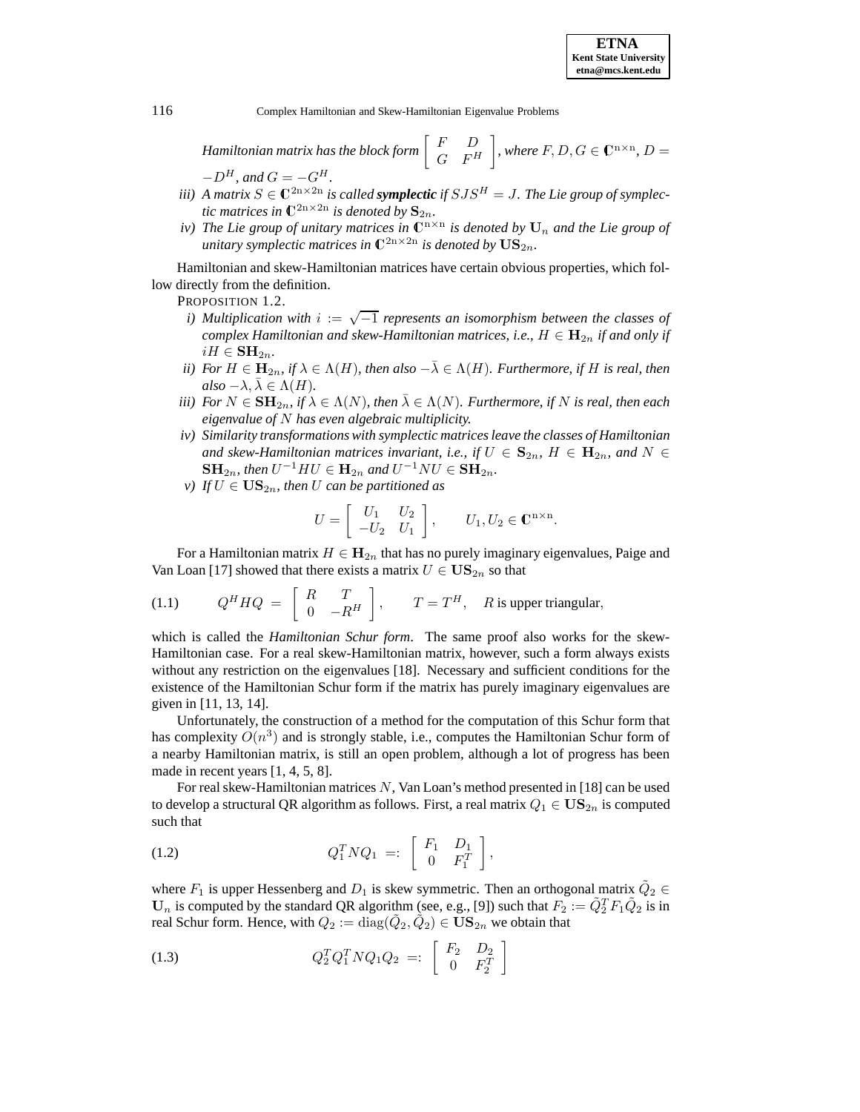*Hamiltonian matrix has the block form*  $\begin{bmatrix} F & D \ G & F^H \end{bmatrix}$ *, where*  $F, D, G \in \mathbb{C}^{n \times n}$ ,  $D =$  $-D^H$ *, and*  $G = -G^H$ *.* 

- *iii*) A matrix  $S \in \mathbb{C}^{2n \times 2n}$  *is called symplectic if*  $SJS^H = J$ . The Lie group of symplec*tic matrices in*  $\mathbb{C}^{2n \times 2n}$  *is denoted by*  $\mathbf{S}_{2n}$ *.*
- *iv)* The Lie group of unitary matrices in  $\mathbb{C}^{n \times n}$  is denoted by  $U_n$  and the Lie group of *unitary symplectic matrices in*  $\mathbb{C}^{2n \times 2n}$  *is denoted by*  $\mathrm{US}_{2n}$ *.*

Hamiltonian and skew-Hamiltonian matrices have certain obvious properties, which follow directly from the definition.

PROPOSITION 1.2.

- *i) Multiplication with* <sup>i</sup> := √−<sup>1</sup> *represents an isomorphism between the classes of complex Hamiltonian and skew-Hamiltonian matrices, i.e.,*  $H \in \mathbf{H}_{2n}$  *if and only if*  $iH \in \mathbf{SH}_{2n}$ .
- *ii)* For  $H \in \mathbf{H}_{2n}$ , if  $\lambda \in \Lambda(H)$ , then also  $-\overline{\lambda} \in \Lambda(H)$ . Furthermore, if H is real, then  $also -\lambda, \bar{\lambda} \in \Lambda(H)$ .
- *iii)* For  $N \in \mathbf{SH}_{2n}$ , if  $\lambda \in \Lambda(N)$ , then  $\overline{\lambda} \in \Lambda(N)$ *. Furthermore, if* N is real, then each *eigenvalue of* N *has even algebraic multiplicity.*
- *iv) Similarity transformations with symplectic matrices leave the classes of Hamiltonian and skew-Hamiltonian matrices invariant, i.e., if*  $U \in \mathbf{S}_{2n}$ ,  $H \in \mathbf{H}_{2n}$ , and  $N \in$ **SH**<sub>2n</sub>*, then*  $U^{-1}HU \in H_{2n}$  *and*  $U^{-1}NU \in SH_{2n}$ *.*
- *v*) If  $U \in US_{2n}$ , then U can be partitioned as

$$
U = \begin{bmatrix} U_1 & U_2 \\ -U_2 & U_1 \end{bmatrix}, \qquad U_1, U_2 \in \mathbb{C}^{n \times n}.
$$

For a Hamiltonian matrix  $H \in H_{2n}$  that has no purely imaginary eigenvalues, Paige and Van Loan [17] showed that there exists a matrix  $U \in US_{2n}$  so that

(1.1) 
$$
Q^H H Q = \begin{bmatrix} R & T \\ 0 & -R^H \end{bmatrix}
$$
,  $T = T^H$ , R is upper triangular,

which is called the *Hamiltonian Schur form*. The same proof also works for the skew-Hamiltonian case. For a real skew-Hamiltonian matrix, however, such a form always exists without any restriction on the eigenvalues [18]. Necessary and sufficient conditions for the existence of the Hamiltonian Schur form if the matrix has purely imaginary eigenvalues are given in [11, 13, 14].

Unfortunately, the construction of a method for the computation of this Schur form that has complexity  $O(n^3)$  and is strongly stable, i.e., computes the Hamiltonian Schur form of a nearby Hamiltonian matrix, is still an open problem, although a lot of progress has been made in recent years [1, 4, 5, 8].

For real skew-Hamiltonian matrices N, Van Loan's method presented in [18] can be used to develop a structural QR algorithm as follows. First, a real matrix  $Q_1 \in \mathbf{US}_{2n}$  is computed such that

(1.2) 
$$
Q_1^T N Q_1 =: \begin{bmatrix} F_1 & D_1 \\ 0 & F_1^T \end{bmatrix},
$$

where  $F_1$  is upper Hessenberg and  $D_1$  is skew symmetric. Then an orthogonal matrix  $\tilde{Q}_2 \in$  $\mathbf{U}_n$  is computed by the standard QR algorithm (see, e.g., [9]) such that  $F_2 := \tilde{Q}_2^T F_1 \tilde{Q}_2$  is in real Schur form. Hence, with  $Q_2 := diag(\tilde{Q}_2, \tilde{Q}_2) \in \mathbf{US}_{2n}$  we obtain that

(1.3) 
$$
Q_2^T Q_1^T N Q_1 Q_2 =: \begin{bmatrix} F_2 & D_2 \\ 0 & F_2^T \end{bmatrix}
$$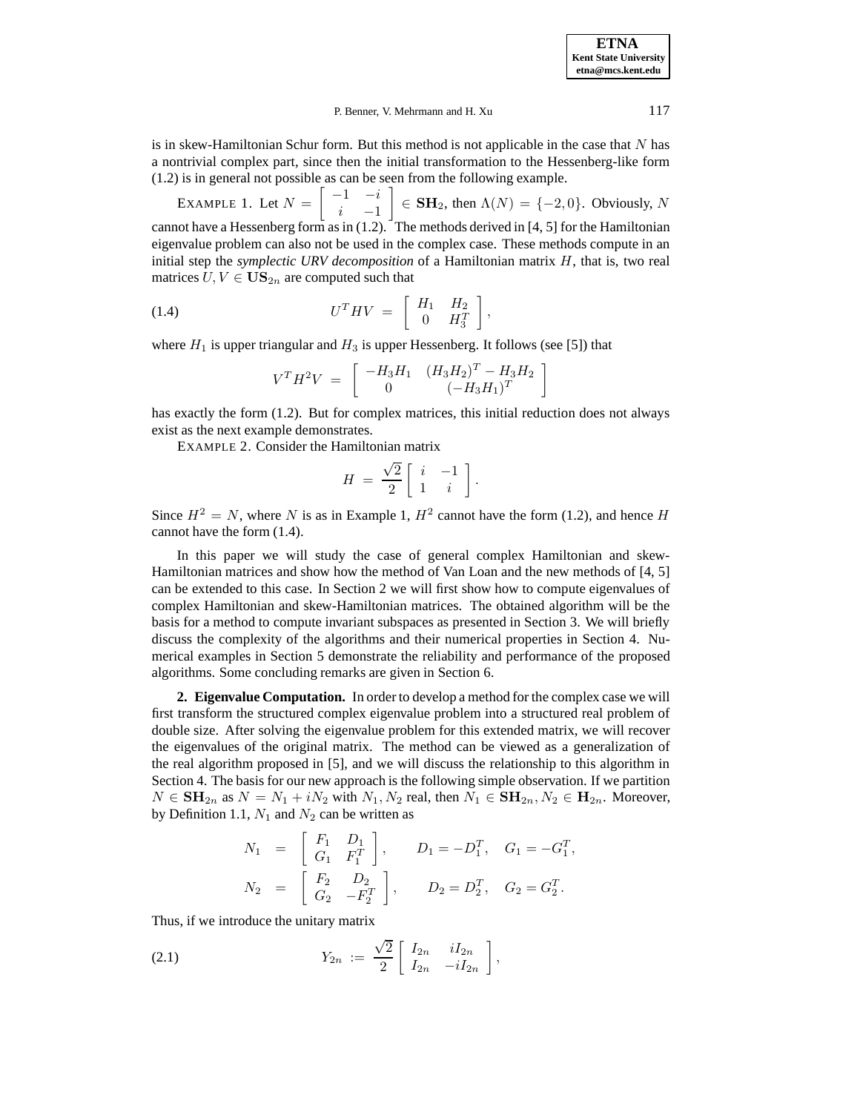**ETNA Kent State University etna@mcs.kent.edu**

#### P. Benner, V. Mehrmann and H. Xu 117

is in skew-Hamiltonian Schur form. But this method is not applicable in the case that  $N$  has a nontrivial complex part, since then the initial transformation to the Hessenberg-like form (1.2) is in general not possible as can be seen from the following example.

EXAMPLE 1. Let  $N = \begin{bmatrix} -1 & -i \\ i & 1 \end{bmatrix}$  $i \t -1$ 1  $\in$  **SH**<sub>2</sub>, then  $\Lambda(N) = \{-2, 0\}$ . Obviously, N cannot have a Hessenberg form as in (1.2). The methods derived in [4, 5] for the Hamiltonian eigenvalue problem can also not be used in the complex case. These methods compute in an initial step the *symplectic URV decomposition* of a Hamiltonian matrix H, that is, two real matrices  $U, V \in \mathbf{US}_{2n}$  are computed such that

$$
(1.4) \tUTHV = \begin{bmatrix} H_1 & H_2 \\ 0 & H_3^T \end{bmatrix},
$$

where  $H_1$  is upper triangular and  $H_3$  is upper Hessenberg. It follows (see [5]) that

$$
V^T H^2 V = \begin{bmatrix} -H_3 H_1 & (H_3 H_2)^T - H_3 H_2 \\ 0 & (-H_3 H_1)^T \end{bmatrix}
$$

has exactly the form (1.2). But for complex matrices, this initial reduction does not always exist as the next example demonstrates.

EXAMPLE 2. Consider the Hamiltonian matrix

$$
H = \frac{\sqrt{2}}{2} \left[ \begin{array}{cc} i & -1 \\ 1 & i \end{array} \right].
$$

Since  $H^2 = N$ , where N is as in Example 1,  $H^2$  cannot have the form (1.2), and hence H cannot have the form (1.4).

In this paper we will study the case of general complex Hamiltonian and skew-Hamiltonian matrices and show how the method of Van Loan and the new methods of [4, 5] can be extended to this case. In Section 2 we will first show how to compute eigenvalues of complex Hamiltonian and skew-Hamiltonian matrices. The obtained algorithm will be the basis for a method to compute invariant subspaces as presented in Section 3. We will briefly discuss the complexity of the algorithms and their numerical properties in Section 4. Numerical examples in Section 5 demonstrate the reliability and performance of the proposed algorithms. Some concluding remarks are given in Section 6.

**2. Eigenvalue Computation.** In order to develop a method for the complex case we will first transform the structured complex eigenvalue problem into a structured real problem of double size. After solving the eigenvalue problem for this extended matrix, we will recover the eigenvalues of the original matrix. The method can be viewed as a generalization of the real algorithm proposed in [5], and we will discuss the relationship to this algorithm in Section 4. The basis for our new approach is the following simple observation. If we partition  $N \in \mathbf{SH}_{2n}$  as  $N = N_1 + iN_2$  with  $N_1, N_2$  real, then  $N_1 \in \mathbf{SH}_{2n}, N_2 \in \mathbf{H}_{2n}$ . Moreover, by Definition 1.1,  $N_1$  and  $N_2$  can be written as

$$
N_1 = \begin{bmatrix} F_1 & D_1 \\ G_1 & F_1^T \end{bmatrix}, \t D_1 = -D_1^T, \t G_1 = -G_1^T,
$$
  

$$
N_2 = \begin{bmatrix} F_2 & D_2 \\ G_2 & -F_2^T \end{bmatrix}, \t D_2 = D_2^T, \t G_2 = G_2^T.
$$

Thus, if we introduce the unitary matrix

(2.1) 
$$
Y_{2n} := \frac{\sqrt{2}}{2} \begin{bmatrix} I_{2n} & iI_{2n} \\ I_{2n} & -iI_{2n} \end{bmatrix},
$$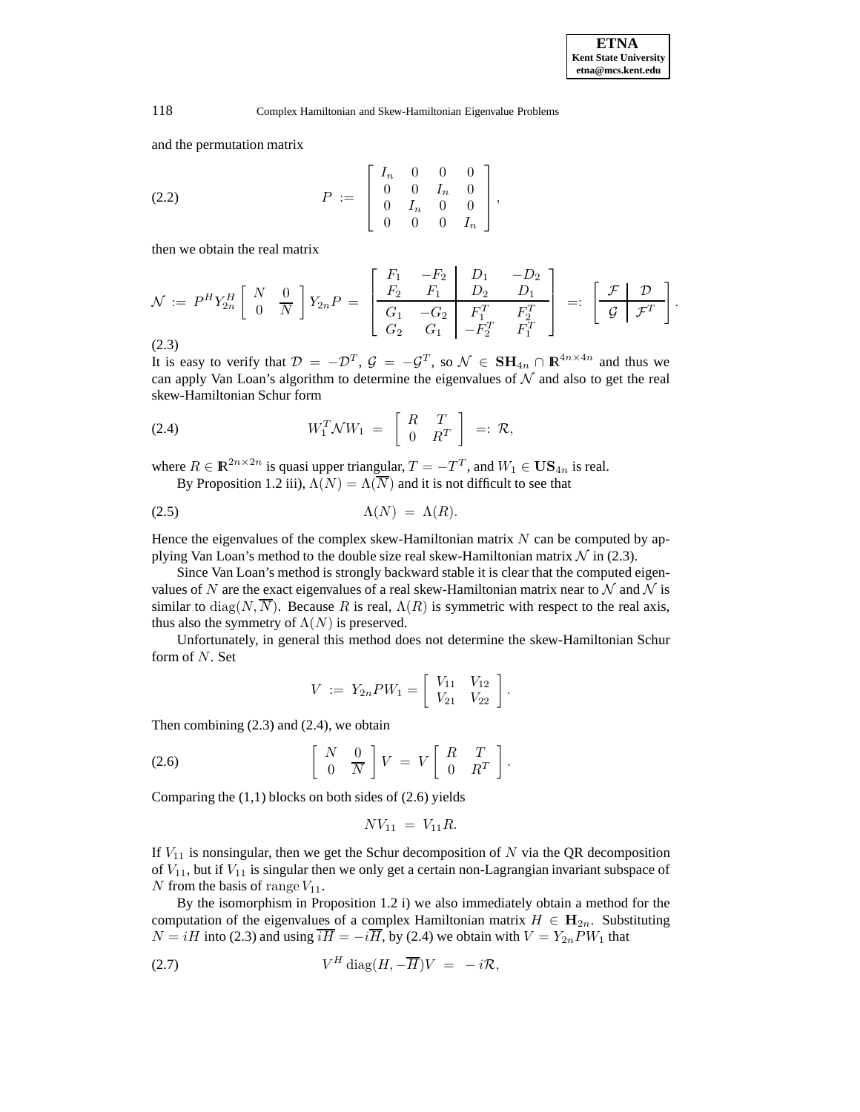and the permutation matrix

(2.2) 
$$
P := \begin{bmatrix} I_n & 0 & 0 & 0 \\ 0 & 0 & I_n & 0 \\ 0 & I_n & 0 & 0 \\ 0 & 0 & 0 & I_n \end{bmatrix},
$$

then we obtain the real matrix

$$
\mathcal{N} := P^H Y_{2n}^H \left[ \begin{array}{cc} N & 0 \\ 0 & \overline{N} \end{array} \right] Y_{2n} P = \left[ \begin{array}{ccc} F_1 & -F_2 & D_1 & -D_2 \\ \overline{F_2} & F_1 & D_2 & D_1 \\ \overline{G_1} & -G_2 & F_1^T & F_2^T \\ G_2 & G_1 & -F_2^T & F_1^T \end{array} \right] =: \left[ \begin{array}{cc} \mathcal{F} & \mathcal{D} \\ \mathcal{G} & \mathcal{F}^T \end{array} \right].
$$
\n(2.3)

It is easy to verify that  $\mathcal{D} = -\mathcal{D}^T$ ,  $\mathcal{G} = -\mathcal{G}^T$ , so  $\mathcal{N} \in \mathbf{SH}_{4n} \cap \mathbb{R}^{4n \times 4n}$  and thus we can apply Van Loan's algorithm to determine the eigenvalues of  $N$  and also to get the real skew-Hamiltonian Schur form

$$
(2.4) \t W_1^T \mathcal{N} W_1 = \begin{bmatrix} R & T \\ 0 & R^T \end{bmatrix} =: \mathcal{R},
$$

where  $R \in \mathbb{R}^{2n \times 2n}$  is quasi upper triangular,  $T = -T^T$ , and  $W_1 \in \mathbf{US}_{4n}$  is real. By Proposition 1.2 iii),  $\Lambda(N) = \Lambda(\overline{N})$  and it is not difficult to see that

$$
\Lambda(N) = \Lambda(R).
$$

Hence the eigenvalues of the complex skew-Hamiltonian matrix  $N$  can be computed by applying Van Loan's method to the double size real skew-Hamiltonian matrix  $\mathcal N$  in (2.3).

Since Van Loan's method is strongly backward stable it is clear that the computed eigenvalues of N are the exact eigenvalues of a real skew-Hamiltonian matrix near to N and N is similar to  $diag(N, \overline{N})$ . Because R is real,  $\Lambda(R)$  is symmetric with respect to the real axis, thus also the symmetry of  $\Lambda(N)$  is preserved.

Unfortunately, in general this method does not determine the skew-Hamiltonian Schur form of N. Set

$$
V := Y_{2n}PW_1 = \left[\begin{array}{cc} V_{11} & V_{12} \\ V_{21} & V_{22} \end{array}\right].
$$

Then combining  $(2.3)$  and  $(2.4)$ , we obtain

$$
(2.6) \qquad \qquad \left[\begin{array}{cc} N & 0 \\ 0 & \overline{N} \end{array}\right] V \;=\; V \left[\begin{array}{cc} R & T \\ 0 & R^T \end{array}\right].
$$

Comparing the  $(1,1)$  blocks on both sides of  $(2.6)$  yields

$$
N V_{11} \, = \, V_{11} R.
$$

If  $V_{11}$  is nonsingular, then we get the Schur decomposition of N via the QR decomposition of  $V_{11}$ , but if  $V_{11}$  is singular then we only get a certain non-Lagrangian invariant subspace of N from the basis of range  $V_{11}$ .

By the isomorphism in Proposition 1.2 i) we also immediately obtain a method for the computation of the eigenvalues of a complex Hamiltonian matrix  $H \in H_{2n}$ . Substituting  $N = iH$  into (2.3) and using  $\overline{iH} = -i\overline{H}$ , by (2.4) we obtain with  $V = Y_{2n}PW_1$  that

$$
(2.7) \tVH diag(H, -\overline{H})V = -i\mathcal{R},
$$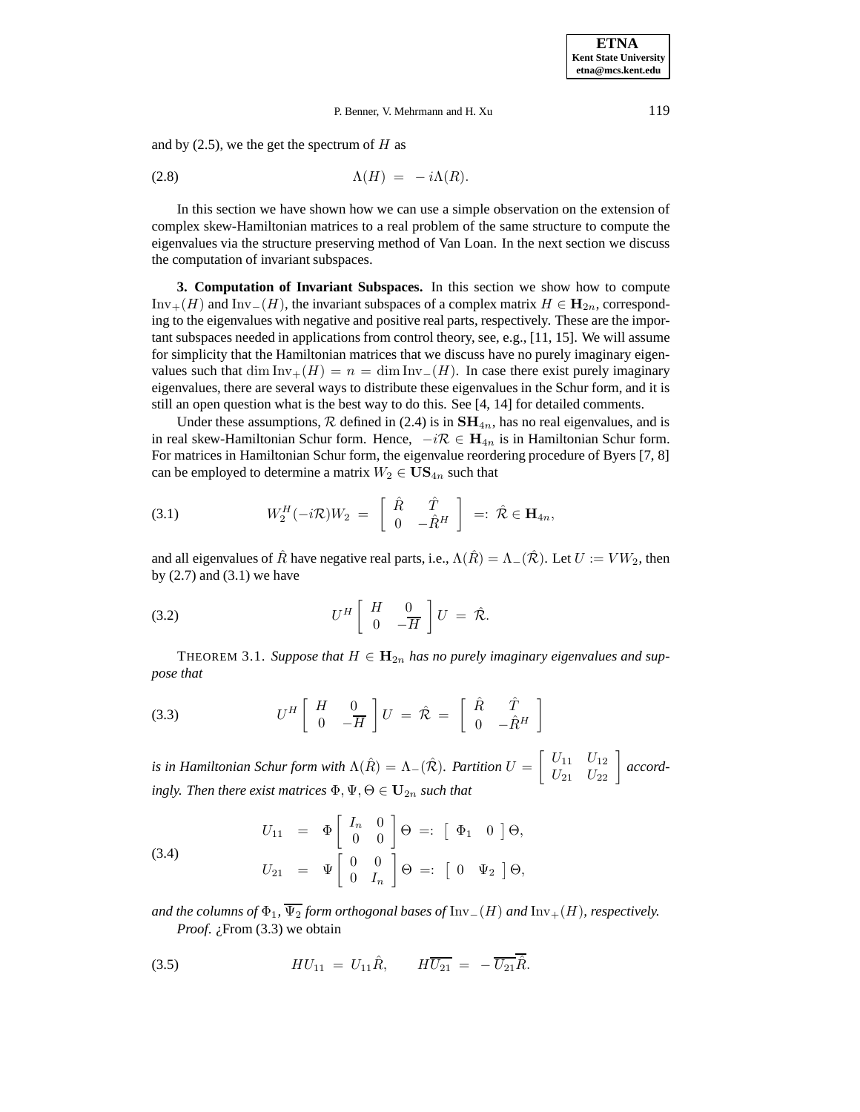## P. Benner, V. Mehrmann and H. Xu 119

and by  $(2.5)$ , we the get the spectrum of H as

$$
\Lambda(H) = -i\Lambda(R).
$$

In this section we have shown how we can use a simple observation on the extension of complex skew-Hamiltonian matrices to a real problem of the same structure to compute the eigenvalues via the structure preserving method of Van Loan. In the next section we discuss the computation of invariant subspaces.

**3. Computation of Invariant Subspaces.** In this section we show how to compute Inv<sub>+</sub>(H) and Inv<sub>−</sub>(H), the invariant subspaces of a complex matrix  $H \in \mathbf{H}_{2n}$ , corresponding to the eigenvalues with negative and positive real parts, respectively. These are the important subspaces needed in applications from control theory, see, e.g., [11, 15]. We will assume for simplicity that the Hamiltonian matrices that we discuss have no purely imaginary eigenvalues such that dim Inv<sub>+</sub>(H) = n = dim Inv<sub>−</sub>(H). In case there exist purely imaginary eigenvalues, there are several ways to distribute these eigenvalues in the Schur form, and it is still an open question what is the best way to do this. See [4, 14] for detailed comments.

Under these assumptions,  $R$  defined in (2.4) is in  $SH_{4n}$ , has no real eigenvalues, and is in real skew-Hamiltonian Schur form. Hence,  $-i\mathcal{R}$  ∈  $H_{4n}$  is in Hamiltonian Schur form. For matrices in Hamiltonian Schur form, the eigenvalue reordering procedure of Byers [7, 8] can be employed to determine a matrix  $W_2 \in \mathbf{US}_{4n}$  such that

(3.1) 
$$
W_2^H(-i\mathcal{R})W_2 = \begin{bmatrix} \hat{R} & \hat{T} \\ 0 & -\hat{R}^H \end{bmatrix} =: \hat{\mathcal{R}} \in \mathbf{H}_{4n},
$$

and all eigenvalues of  $\hat{R}$  have negative real parts, i.e.,  $\Lambda(\hat{R}) = \Lambda_-(\hat{R})$ . Let  $U := VW_2$ , then by  $(2.7)$  and  $(3.1)$  we have

U<sup>H</sup> H 0 0 −H U = Rˆ (3.2) .

THEOREM 3.1. Suppose that  $H \in \mathbf{H}_{2n}$  has no purely imaginary eigenvalues and sup*pose that*

$$
(3.3) \tUH \begin{bmatrix} H & 0 \\ 0 & -\overline{H} \end{bmatrix} U = \hat{\mathcal{R}} = \begin{bmatrix} \hat{R} & \hat{T} \\ 0 & -\hat{R}^H \end{bmatrix}
$$

*is in Hamiltonian Schur form with*  $\Lambda(\hat{R}) = \Lambda_{-}(\hat{\mathcal{R}})$ *. Partition*  $U = \begin{bmatrix} U_{11} & U_{12} \ U_{21} & U_{22} \end{bmatrix}$  accord*ingly. Then there exist matrices*  $\Phi, \Psi, \Theta \in \mathbf{U}_{2n}$  *such that* 

(3.4)  

$$
U_{11} = \Phi \begin{bmatrix} I_n & 0 \\ 0 & 0 \end{bmatrix} \Theta =: \begin{bmatrix} \Phi_1 & 0 \end{bmatrix} \Theta,
$$

$$
U_{21} = \Psi \begin{bmatrix} 0 & 0 \\ 0 & I_n \end{bmatrix} \Theta =: \begin{bmatrix} 0 & \Psi_2 \end{bmatrix} \Theta,
$$

*and the columns of*  $\Phi_1$ ,  $\overline{\Psi_2}$  *form orthogonal bases of* Inv<sub>−</sub>(*H*) *and* Inv<sub>+</sub>(*H*)*, respectively. Proof. i*, From (3.3) we obtain

(3.5) 
$$
HU_{11} = U_{11}\hat{R}, \qquad H\overline{U_{21}} = -\overline{U_{21}}\overline{\hat{R}}.
$$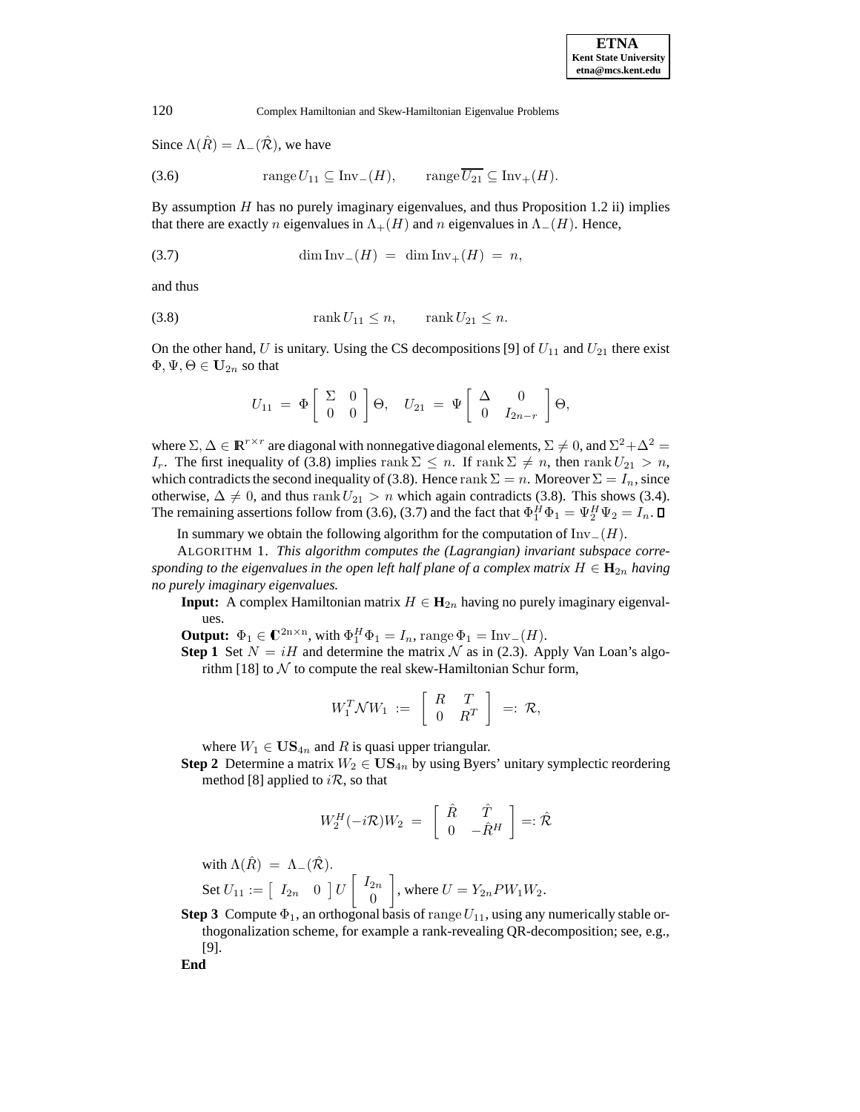Since  $\Lambda(\hat{R}) = \Lambda_{-}(\hat{R})$ , we have

(3.6) range 
$$
U_{11} \subseteq \text{Inv}_-(H)
$$
, range  $\overline{U_{21}} \subseteq \text{Inv}_+(H)$ .

By assumption  $H$  has no purely imaginary eigenvalues, and thus Proposition 1.2 ii) implies that there are exactly n eigenvalues in  $\Lambda_{+}(H)$  and n eigenvalues in  $\Lambda_{-}(H)$ . Hence,

$$
\dim \text{Inv}_{-}(H) = \dim \text{Inv}_{+}(H) = n,
$$

and thus

$$
\operatorname{rank} U_{11} \le n, \qquad \operatorname{rank} U_{21} \le n.
$$

On the other hand, U is unitary. Using the CS decompositions [9] of  $U_{11}$  and  $U_{21}$  there exist  $\Phi, \Psi, \Theta \in \mathbf{U}_{2n}$  so that

$$
U_{11} = \Phi \left[ \begin{array}{cc} \Sigma & 0 \\ 0 & 0 \end{array} \right] \Theta, \quad U_{21} = \Psi \left[ \begin{array}{cc} \Delta & 0 \\ 0 & I_{2n-r} \end{array} \right] \Theta,
$$

where  $\Sigma, \Delta \in \mathbb{R}^{r \times r}$  are diagonal with nonnegative diagonal elements,  $\Sigma \neq 0$ , and  $\Sigma^2 + \Delta^2 =$ I<sub>r</sub>. The first inequality of (3.8) implies rank  $\Sigma \leq n$ . If rank  $\Sigma \neq n$ , then rank  $U_{21} > n$ , which contradicts the second inequality of (3.8). Hence rank  $\Sigma = n$ . Moreover  $\Sigma = I_n$ , since otherwise,  $\Delta \neq 0$ , and thus rank  $U_{21} > n$  which again contradicts (3.8). This shows (3.4). The remaining assertions follow from (3.6), (3.7) and the fact that  $\Phi_1^H \Phi_1 = \Psi_2^H \Psi_2 = I_n$ .

In summary we obtain the following algorithm for the computation of  $\text{Inv}_-(H)$ .

ALGORITHM 1. *This algorithm computes the (Lagrangian) invariant subspace corresponding to the eigenvalues in the open left half plane of a complex matrix*  $H \in \mathbf{H}_{2n}$  *having no purely imaginary eigenvalues.*

**Input:** A complex Hamiltonian matrix  $H \in \mathbf{H}_{2n}$  having no purely imaginary eigenvalues.

**Output:**  $\Phi_1 \in \mathbb{C}^{2n \times n}$ , with  $\Phi_1^H \Phi_1 = I_n$ , range  $\Phi_1 = \text{Inv}_-(H)$ .

**Step 1** Set  $N = iH$  and determine the matrix N as in (2.3). Apply Van Loan's algorithm [18] to  $N$  to compute the real skew-Hamiltonian Schur form,

$$
W_1^T \mathcal{N} W_1 \ := \ \left[ \begin{array}{cc} R & T \\ 0 & R^T \end{array} \right] \ =: \ \mathcal{R},
$$

where  $W_1 \in \mathbf{US}_{4n}$  and R is quasi upper triangular.

**Step 2** Determine a matrix  $W_2 \in \mathbf{US}_{4n}$  by using Byers' unitary symplectic reordering method [8] applied to  $i\mathcal{R}$ , so that

$$
W_2^H(-i\mathcal{R})W_2 = \begin{bmatrix} \hat{R} & \hat{T} \\ 0 & -\hat{R}^H \end{bmatrix} =: \hat{\mathcal{R}}
$$

with  $\Lambda(\hat{R}) = \Lambda_{-}(\hat{\mathcal{R}})$ .

Set  $U_{11} := \begin{bmatrix} I_{2n} & 0 \end{bmatrix} U \begin{bmatrix} I_{2n} \\ 0 \end{bmatrix}$ 0 1 , where  $U = Y_{2n}PW_1W_2$ .

**Step 3** Compute  $\Phi_1$ , an orthogonal basis of range  $U_{11}$ , using any numerically stable orthogonalization scheme, for example a rank-revealing QR-decomposition; see, e.g., [9].

**End**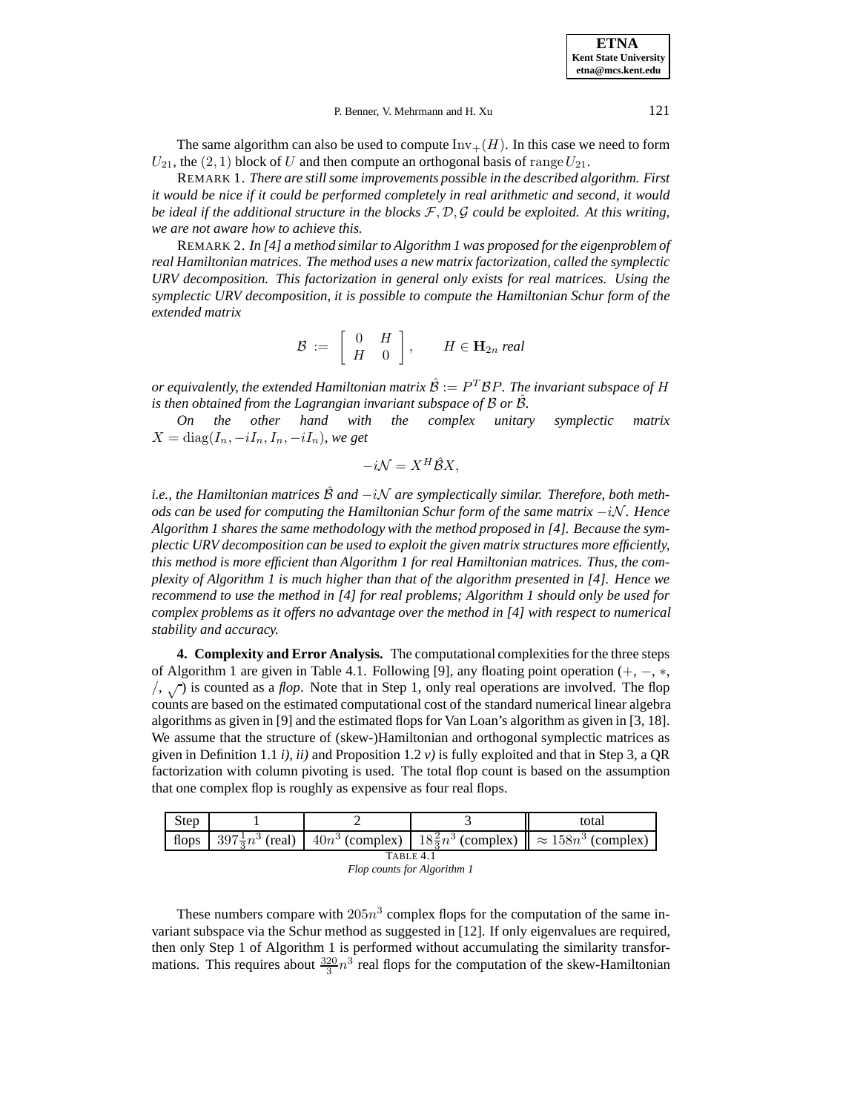**ETNA Kent State University etna@mcs.kent.edu**

### P. Benner, V. Mehrmann and H. Xu 121

The same algorithm can also be used to compute  $\text{Inv}_+(H)$ . In this case we need to form  $U_{21}$ , the  $(2, 1)$  block of U and then compute an orthogonal basis of range  $U_{21}$ .

REMARK 1. *There are still some improvements possible in the described algorithm. First it would be nice if it could be performed completely in real arithmetic and second, it would be ideal if the additional structure in the blocks* F, D, G *could be exploited. At this writing, we are not aware how to achieve this.*

REMARK 2. *In [4] a method similar to Algorithm 1 was proposed for the eigenproblem of real Hamiltonian matrices. The method uses a new matrix factorization, called the symplectic URV decomposition. This factorization in general only exists for real matrices. Using the symplectic URV decomposition, it is possible to compute the Hamiltonian Schur form of the extended matrix*

$$
\mathcal{B} := \left[ \begin{array}{cc} 0 & H \\ H & 0 \end{array} \right], \qquad H \in \mathbf{H}_{2n} \; real
$$

*or equivalently, the extended Hamiltonian matrix*  $\hat{\mathcal{B}} := P^T \mathcal{B} P$ *. The invariant subspace of H is then obtained from the Lagrangian invariant subspace of B or B.* 

*On the other hand with the complex unitary symplectic matrix*  $X = diag(I_n, -iI_n, I_n, -iI_n)$ *, we get* 

$$
-i\mathcal{N} = X^H \hat{\mathcal{B}} X,
$$

*i.e., the Hamiltonian matrices*  $\hat{\mathcal{B}}$  *and*  $-i\mathcal{N}$  *are symplectically similar. Therefore, both methods can be used for computing the Hamiltonian Schur form of the same matrix*  $-i$ N. Hence *Algorithm 1 shares the same methodology with the method proposed in [4]. Because the symplectic URV decomposition can be used to exploit the given matrix structures more efficiently, this method is more efficient than Algorithm 1 for real Hamiltonian matrices. Thus, the complexity of Algorithm 1 is much higher than that of the algorithm presented in [4]. Hence we recommend to use the method in [4] for real problems; Algorithm 1 should only be used for complex problems as it offers no advantage over the method in [4] with respect to numerical stability and accuracy.*

**4. Complexity and Error Analysis.** The computational complexities for the three steps of Algorithm 1 are given in Table 4.1. Following [9], any floating point operation (+, −, ∗,  $/$ ,  $\sqrt{ }$ ) is counted as a *flop*. Note that in Step 1, only real operations are involved. The flop counts are based on the estimated computational cost of the standard numerical linear algebra algorithms as given in [9] and the estimated flops for Van Loan's algorithm as given in [3, 18]. We assume that the structure of (skew-)Hamiltonian and orthogonal symplectic matrices as given in Definition 1.1 *i), ii)* and Proposition 1.2 *v)* is fully exploited and that in Step 3, a QR factorization with column pivoting is used. The total flop count is based on the assumption that one complex flop is roughly as expensive as four real flops.

| Step      |  |  |  | total                                                                                                            |  |  |  |
|-----------|--|--|--|------------------------------------------------------------------------------------------------------------------|--|--|--|
|           |  |  |  | flops $ 397\frac{1}{2}n^3$ (real) $ 40n^3$ (complex) $ 18\frac{2}{3}n^3$ (complex) $\  \approx 158n^3$ (complex) |  |  |  |
| TABLE 4.1 |  |  |  |                                                                                                                  |  |  |  |
|           |  |  |  |                                                                                                                  |  |  |  |

| Flop counts for Algorithm 1 |
|-----------------------------|
|-----------------------------|

These numbers compare with  $205n<sup>3</sup>$  complex flops for the computation of the same invariant subspace via the Schur method as suggested in [12]. If only eigenvalues are required, then only Step 1 of Algorithm 1 is performed without accumulating the similarity transformations. This requires about  $\frac{320}{3}n^3$  real flops for the computation of the skew-Hamiltonian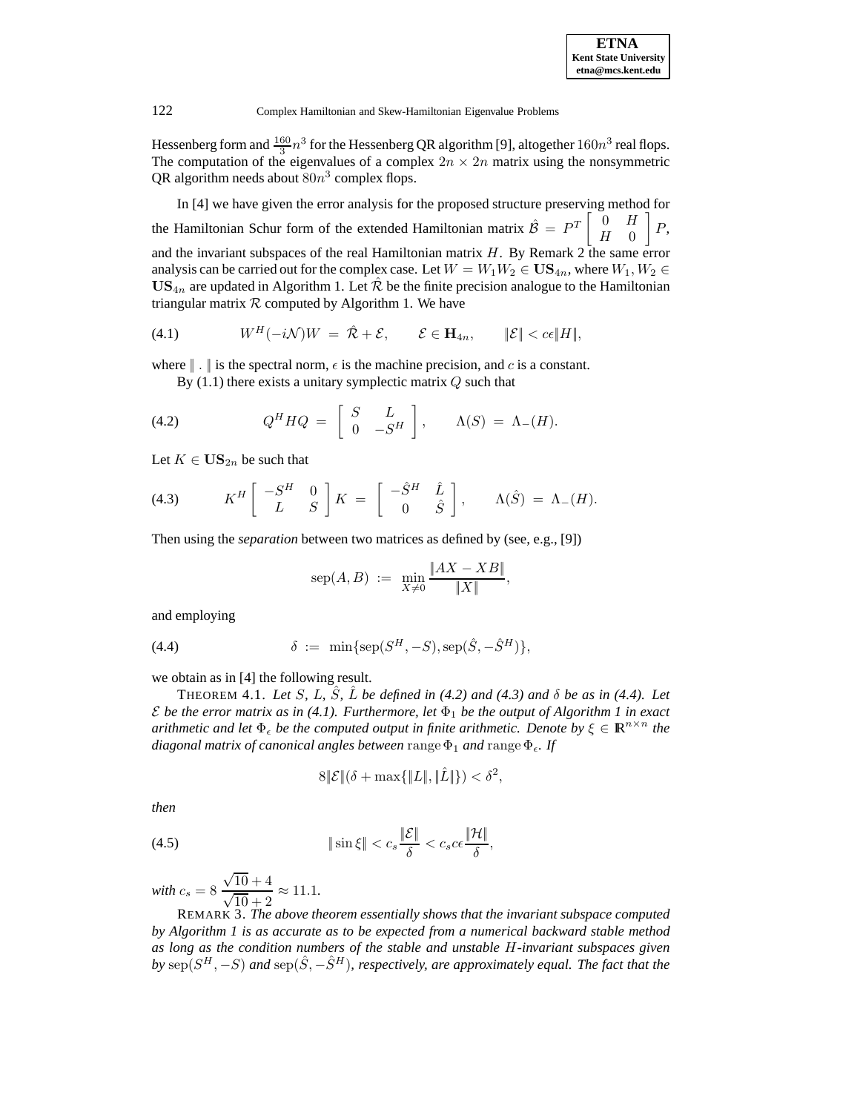Hessenberg form and  $\frac{160}{3}n^3$  for the Hessenberg QR algorithm [9], altogether  $160n^3$  real flops. The computation of the eigenvalues of a complex  $2n \times 2n$  matrix using the nonsymmetric QR algorithm needs about  $80n^3$  complex flops.

In [4] we have given the error analysis for the proposed structure preserving method for the Hamiltonian Schur form of the extended Hamiltonian matrix  $\hat{\mathcal{B}} = P^T \begin{bmatrix} 0 & H \\ H & 0 \end{bmatrix}$  $H \quad 0$ 1 P, and the invariant subspaces of the real Hamiltonian matrix  $H$ . By Remark 2 the same error analysis can be carried out for the complex case. Let  $W = W_1W_2 \in \mathbf{US}_{4n}$ , where  $W_1, W_2 \in$  $US_{4n}$  are updated in Algorithm 1. Let  $\mathcal{R}$  be the finite precision analogue to the Hamiltonian triangular matrix  $R$  computed by Algorithm 1. We have

$$
(4.1) \t WH(-i\mathcal{N})W = \hat{\mathcal{R}} + \mathcal{E}, \t \mathcal{E} \in \mathbf{H}_{4n}, \t ||\mathcal{E}|| < c\epsilon ||H||,
$$

where  $\| \cdot \|$  is the spectral norm,  $\epsilon$  is the machine precision, and c is a constant.

By  $(1.1)$  there exists a unitary symplectic matrix  $Q$  such that

(4.2) 
$$
Q^{H}HQ = \begin{bmatrix} S & L \\ 0 & -S^{H} \end{bmatrix}, \qquad \Lambda(S) = \Lambda_{-}(H).
$$

Let  $K \in \mathbf{US}_{2n}$  be such that

(4.3) 
$$
K^H \begin{bmatrix} -S^H & 0 \ L & S \end{bmatrix} K = \begin{bmatrix} -\hat{S}^H & \hat{L} \ 0 & \hat{S} \end{bmatrix}, \qquad \Lambda(\hat{S}) = \Lambda_{-}(H).
$$

Then using the *separation* between two matrices as defined by (see, e.g., [9])

$$
sep(A, B) := \min_{X \neq 0} \frac{\|AX - XB\|}{\|X\|},
$$

and employing

(4.4) 
$$
\delta := \min\{ \text{sep}(S^H, -S), \text{sep}(\hat{S}, -\hat{S}^H) \},
$$

we obtain as in [4] the following result.

THEOREM 4.1. *Let* S, L,  $\hat{S}$ ,  $\hat{L}$  *be defined in (4.2) and (4.3) and*  $\delta$  *be as in (4.4). Let*  $\mathcal E$  *be the error matrix as in (4.1). Furthermore, let*  $\Phi_1$  *be the output of Algorithm 1 in exact arithmetic and let*  $\Phi_{\epsilon}$  *be the computed output in finite arithmetic. Denote by*  $\xi \in \mathbb{R}^{n \times n}$  *the diagonal matrix of canonical angles between* range  $\Phi_1$  *and* range  $\Phi_6$ . If

$$
8\|\mathcal{E}\|(\delta + \max\{\|L\|,\|\hat{L}\|\}) < \delta^2,
$$

*then*

(4.5) 
$$
\|\sin\xi\| < c_s \frac{\|\mathcal{E}\|}{\delta} < c_s c \epsilon \frac{\|\mathcal{H}\|}{\delta},
$$

*with*  $c_s = 8 \frac{\sqrt{10} + 4}{\sqrt{10} + 2}$  $\frac{\sqrt{10}+1}{\sqrt{10}+2} \approx 11.1.$ 

REMARK 3. *The above theorem essentially shows that the invariant subspace computed by Algorithm 1 is as accurate as to be expected from a numerical backward stable method as long as the condition numbers of the stable and unstable* H*-invariant subspaces given by* sep( $S^H$ ,  $-S$ ) *and* sep( $\hat{S}$ ,  $-\hat{S}^H$ )*, respectively, are approximately equal. The fact that the*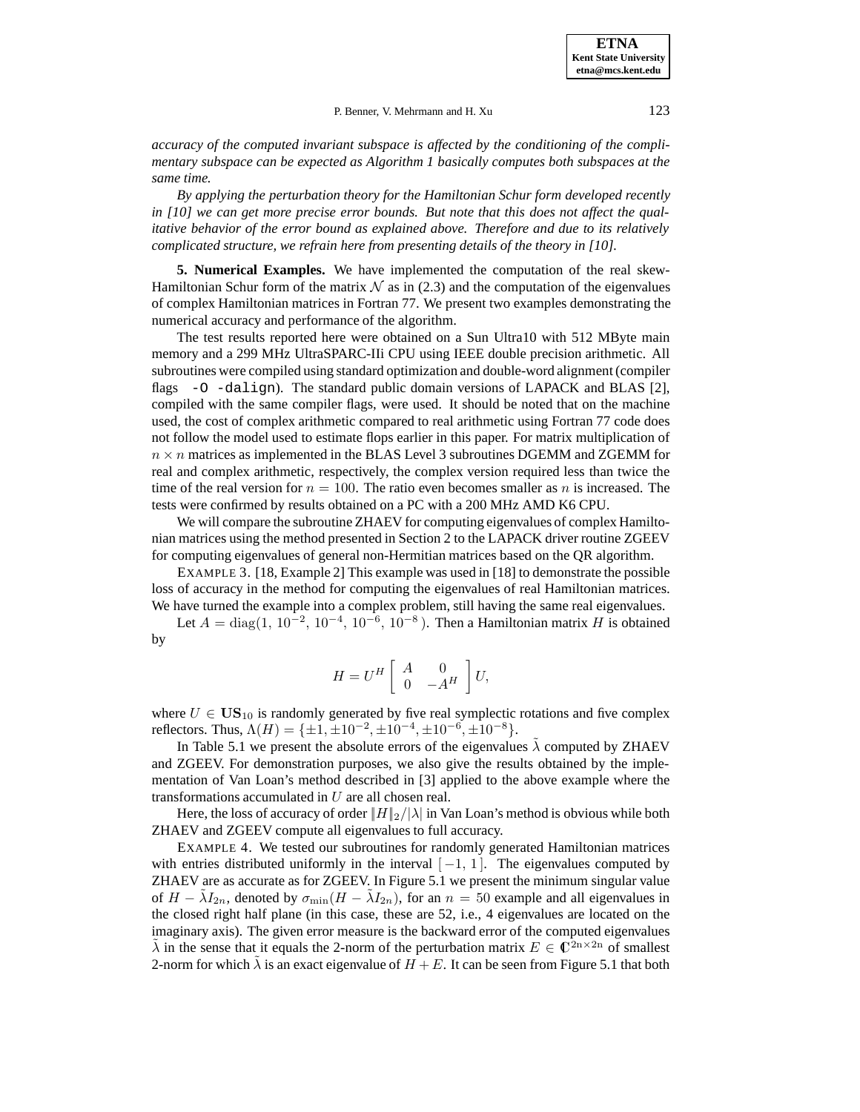**ETNA Kent State University etna@mcs.kent.edu**

P. Benner, V. Mehrmann and H. Xu 123

*accuracy of the computed invariant subspace is affected by the conditioning of the complimentary subspace can be expected as Algorithm 1 basically computes both subspaces at the same time.*

*By applying the perturbation theory for the Hamiltonian Schur form developed recently in [10] we can get more precise error bounds. But note that this does not affect the qualitative behavior of the error bound as explained above. Therefore and due to its relatively complicated structure, we refrain here from presenting details of the theory in [10].*

**5. Numerical Examples.** We have implemented the computation of the real skew-Hamiltonian Schur form of the matrix  $\mathcal N$  as in (2.3) and the computation of the eigenvalues of complex Hamiltonian matrices in Fortran 77. We present two examples demonstrating the numerical accuracy and performance of the algorithm.

The test results reported here were obtained on a Sun Ultra10 with 512 MByte main memory and a 299 MHz UltraSPARC-IIi CPU using IEEE double precision arithmetic. All subroutines were compiled using standard optimization and double-word alignment (compiler flags -O -dalign). The standard public domain versions of LAPACK and BLAS [2], compiled with the same compiler flags, were used. It should be noted that on the machine used, the cost of complex arithmetic compared to real arithmetic using Fortran 77 code does not follow the model used to estimate flops earlier in this paper. For matrix multiplication of  $n \times n$  matrices as implemented in the BLAS Level 3 subroutines DGEMM and ZGEMM for real and complex arithmetic, respectively, the complex version required less than twice the time of the real version for  $n = 100$ . The ratio even becomes smaller as n is increased. The tests were confirmed by results obtained on a PC with a 200 MHz AMD K6 CPU.

We will compare the subroutine ZHAEV for computing eigenvalues of complex Hamiltonian matrices using the method presented in Section 2 to the LAPACK driver routine ZGEEV for computing eigenvalues of general non-Hermitian matrices based on the QR algorithm.

EXAMPLE 3. [18, Example 2] This example was used in [18] to demonstrate the possible loss of accuracy in the method for computing the eigenvalues of real Hamiltonian matrices. We have turned the example into a complex problem, still having the same real eigenvalues.

Let  $A = diag(1, 10^{-2}, 10^{-4}, 10^{-6}, 10^{-8})$ . Then a Hamiltonian matrix H is obtained by

$$
H=U^H\left[\begin{array}{cc} A & 0 \\ 0 & -A^H \end{array}\right]U,
$$

where  $U \in US_{10}$  is randomly generated by five real symplectic rotations and five complex reflectors. Thus,  $\Lambda(H) = {\pm 1, \pm 10^{-2}, \pm 10^{-4}, \pm 10^{-6}, \pm 10^{-8}}$ .

In Table 5.1 we present the absolute errors of the eigenvalues  $\lambda$  computed by ZHAEV and ZGEEV. For demonstration purposes, we also give the results obtained by the implementation of Van Loan's method described in [3] applied to the above example where the transformations accumulated in U are all chosen real.

Here, the loss of accuracy of order  $||H||_2/|\lambda|$  in Van Loan's method is obvious while both ZHAEV and ZGEEV compute all eigenvalues to full accuracy.

EXAMPLE 4. We tested our subroutines for randomly generated Hamiltonian matrices with entries distributed uniformly in the interval  $[-1, 1]$ . The eigenvalues computed by ZHAEV are as accurate as for ZGEEV. In Figure 5.1 we present the minimum singular value of  $H - \tilde{\lambda} I_{2n}$ , denoted by  $\sigma_{\min}(H - \tilde{\lambda} I_{2n})$ , for an  $n = 50$  example and all eigenvalues in the closed right half plane (in this case, these are 52, i.e., 4 eigenvalues are located on the imaginary axis). The given error measure is the backward error of the computed eigenvalues  $\lambda$  in the sense that it equals the 2-norm of the perturbation matrix  $E \in \mathbb{C}^{2n \times 2n}$  of smallest 2-norm for which  $\lambda$  is an exact eigenvalue of  $H + E$ . It can be seen from Figure 5.1 that both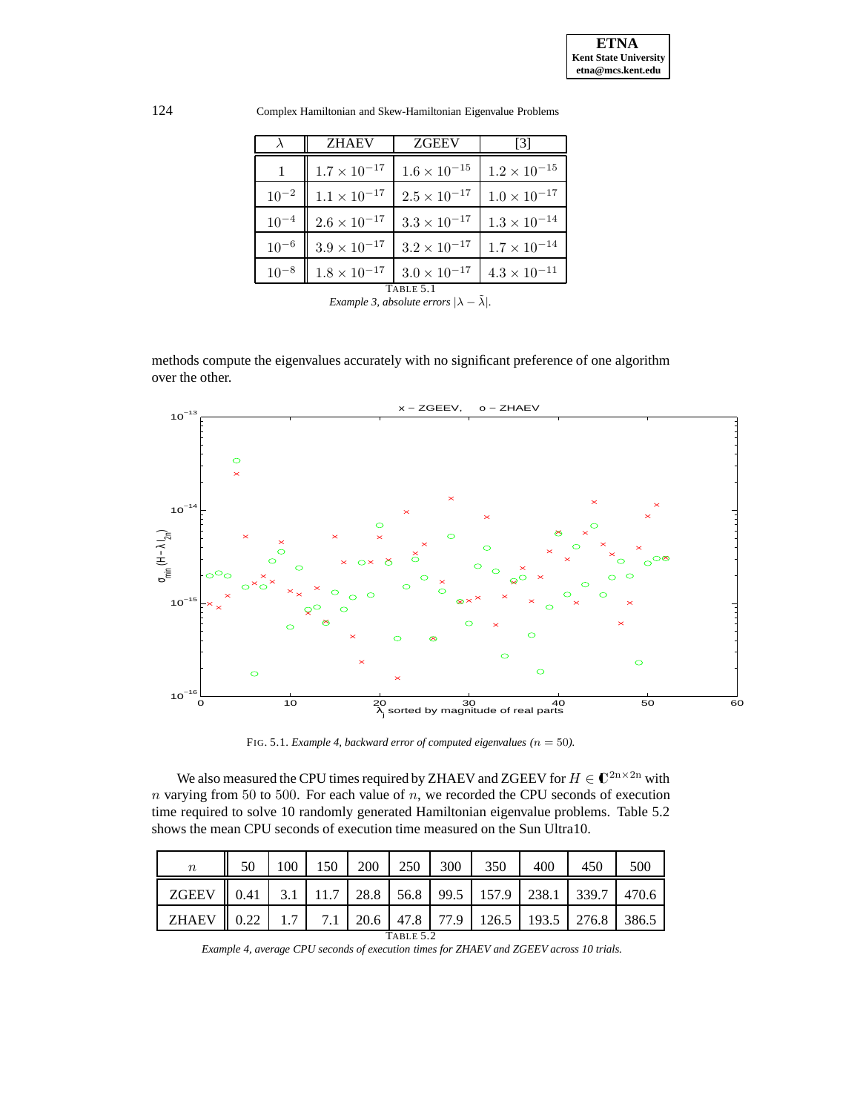|           | ZHAEV               | ZGEEV                 |                       |  |  |  |  |
|-----------|---------------------|-----------------------|-----------------------|--|--|--|--|
|           | $1.7\times10^{-17}$ | $1.6\times10^{-15}$   | $1.2 \times 10^{-15}$ |  |  |  |  |
| $10^{-2}$ | $1.1\times10^{-17}$ | $2.5 \times 10^{-17}$ | $1.0 \times 10^{-17}$ |  |  |  |  |
| $10^{-4}$ | $2.6\times10^{-17}$ | $3.3 \times 10^{-17}$ | $1.3 \times 10^{-14}$ |  |  |  |  |
| $10^{-6}$ | $3.9\times10^{-17}$ | $3.2 \times 10^{-17}$ | $1.7 \times 10^{-14}$ |  |  |  |  |
| $10^{-8}$ | $1.8\times10^{-17}$ | $3.0\times10^{-17}$   | $4.3 \times 10^{-11}$ |  |  |  |  |
| TABLE 5.1 |                     |                       |                       |  |  |  |  |

124 Complex Hamiltonian and Skew-Hamiltonian Eigenvalue Problems

**TABLE 5.1**<br>*Example 3, absolute errors*  $|\lambda - \tilde{\lambda}|$ *.* 

methods compute the eigenvalues accurately with no significant preference of one algorithm over the other.



FIG. 5.1. *Example 4, backward error of computed eigenvalues (* $n = 50$ *).* 

We also measured the CPU times required by ZHAEV and ZGEEV for  $H\in\mathbb{C}^{2n\times 2n}$  with  $n$  varying from 50 to 500. For each value of  $n$ , we recorded the CPU seconds of execution time required to solve 10 randomly generated Hamiltonian eigenvalue problems. Table 5.2 shows the mean CPU seconds of execution time measured on the Sun Ultra10.

| $\it{n}$     | 50   | 100 | l 50 | 200  | 250  | 300  | 350   | 400   | 450   | 500   |
|--------------|------|-----|------|------|------|------|-------|-------|-------|-------|
| <b>ZGEEV</b> | 0.41 | 3.1 | 11.7 | 28.8 | 56.8 | 99.5 | 157.9 | 238.1 | 339.7 | 470.6 |
| <b>ZHAEV</b> | 0.22 | 1.7 | 7.1  | 20.6 | 47.8 | 77.9 | 126.5 | 193.5 | 276.8 | 386.5 |
| TABLE 5.2    |      |     |      |      |      |      |       |       |       |       |

*Example 4, average CPU seconds of execution times for ZHAEV and ZGEEV across 10 trials.*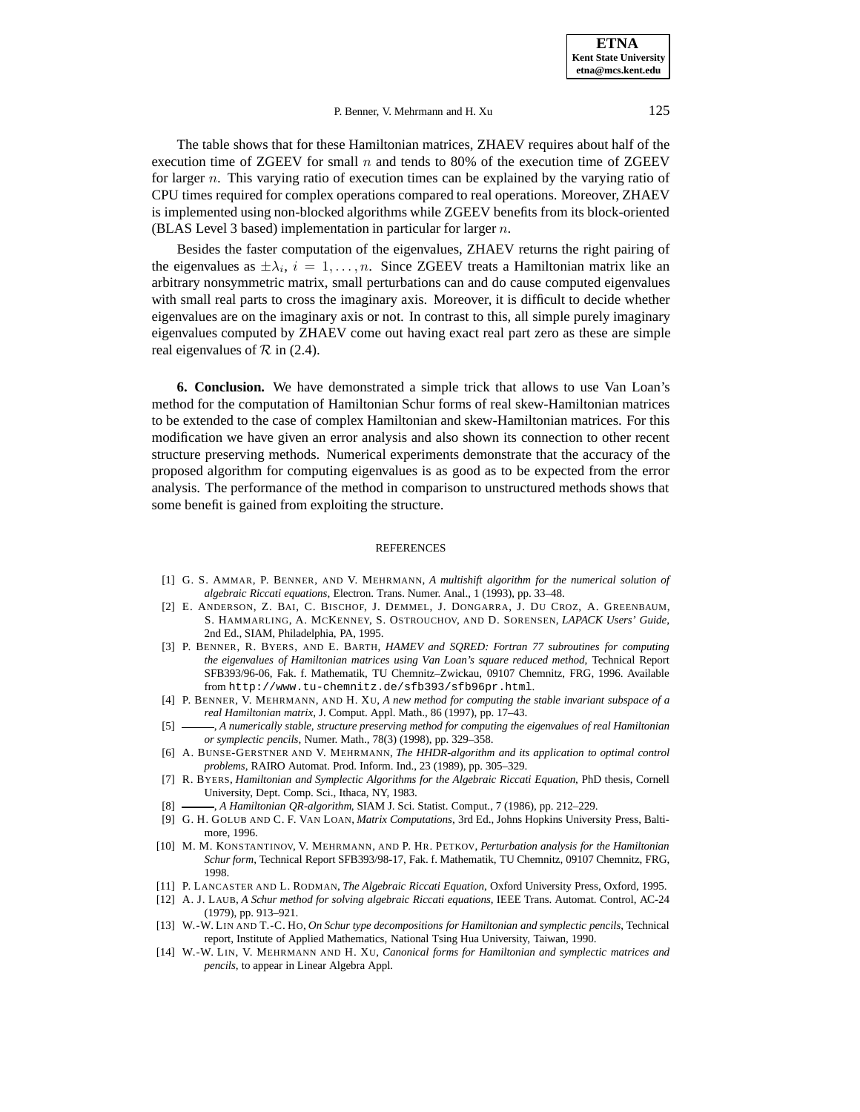#### P. Benner, V. Mehrmann and H. Xu 125

The table shows that for these Hamiltonian matrices, ZHAEV requires about half of the execution time of ZGEEV for small  $n$  and tends to 80% of the execution time of ZGEEV for larger  $n$ . This varying ratio of execution times can be explained by the varying ratio of CPU times required for complex operations compared to real operations. Moreover, ZHAEV is implemented using non-blocked algorithms while ZGEEV benefits from its block-oriented (BLAS Level 3 based) implementation in particular for larger  $n$ .

Besides the faster computation of the eigenvalues, ZHAEV returns the right pairing of the eigenvalues as  $\pm \lambda_i$ ,  $i = 1, \ldots, n$ . Since ZGEEV treats a Hamiltonian matrix like an arbitrary nonsymmetric matrix, small perturbations can and do cause computed eigenvalues with small real parts to cross the imaginary axis. Moreover, it is difficult to decide whether eigenvalues are on the imaginary axis or not. In contrast to this, all simple purely imaginary eigenvalues computed by ZHAEV come out having exact real part zero as these are simple real eigenvalues of  $\mathcal R$  in (2.4).

**6. Conclusion.** We have demonstrated a simple trick that allows to use Van Loan's method for the computation of Hamiltonian Schur forms of real skew-Hamiltonian matrices to be extended to the case of complex Hamiltonian and skew-Hamiltonian matrices. For this modification we have given an error analysis and also shown its connection to other recent structure preserving methods. Numerical experiments demonstrate that the accuracy of the proposed algorithm for computing eigenvalues is as good as to be expected from the error analysis. The performance of the method in comparison to unstructured methods shows that some benefit is gained from exploiting the structure.

#### REFERENCES

- [1] G. S. AMMAR, P. BENNER, AND V. MEHRMANN, *A multishift algorithm for the numerical solution of algebraic Riccati equations*, Electron. Trans. Numer. Anal., 1 (1993), pp. 33–48.
- [2] E. ANDERSON, Z. BAI, C. BISCHOF, J. DEMMEL, J. DONGARRA, J. DU CROZ, A. GREENBAUM, S. HAMMARLING, A. MCKENNEY, S. OSTROUCHOV, AND D. SORENSEN, *LAPACK Users' Guide*, 2nd Ed., SIAM, Philadelphia, PA, 1995.
- [3] P. BENNER, R. BYERS, AND E. BARTH, *HAMEV and SQRED: Fortran 77 subroutines for computing the eigenvalues of Hamiltonian matrices using Van Loan's square reduced method*, Technical Report SFB393/96-06, Fak. f. Mathematik, TU Chemnitz–Zwickau, 09107 Chemnitz, FRG, 1996. Available from http://www.tu-chemnitz.de/sfb393/sfb96pr.html.
- [4] P. BENNER, V. MEHRMANN, AND H. XU, *A new method for computing the stable invariant subspace of a real Hamiltonian matrix*, J. Comput. Appl. Math., 86 (1997), pp. 17–43.
- [5] , *A numerically stable, structure preserving method for computing the eigenvalues of real Hamiltonian or symplectic pencils*, Numer. Math., 78(3) (1998), pp. 329–358.
- [6] A. BUNSE-GERSTNER AND V. MEHRMANN, *The HHDR-algorithm and its application to optimal control problems*, RAIRO Automat. Prod. Inform. Ind., 23 (1989), pp. 305–329.
- [7] R. BYERS, *Hamiltonian and Symplectic Algorithms for the Algebraic Riccati Equation*, PhD thesis, Cornell University, Dept. Comp. Sci., Ithaca, NY, 1983.
- [8] , *A Hamiltonian QR-algorithm*, SIAM J. Sci. Statist. Comput., 7 (1986), pp. 212–229.
- [9] G. H. GOLUB AND C. F. VAN LOAN, *Matrix Computations*, 3rd Ed., Johns Hopkins University Press, Baltimore, 1996.
- [10] M. M. KONSTANTINOV, V. MEHRMANN, AND P. HR. PETKOV, *Perturbation analysis for the Hamiltonian Schur form*, Technical Report SFB393/98-17, Fak. f. Mathematik, TU Chemnitz, 09107 Chemnitz, FRG, 1998.
- [11] P. LANCASTER AND L. RODMAN, *The Algebraic Riccati Equation*, Oxford University Press, Oxford, 1995.
- [12] A. J. LAUB, *A Schur method for solving algebraic Riccati equations*, IEEE Trans. Automat. Control, AC-24 (1979), pp. 913–921.
- [13] W.-W. LIN AND T.-C. HO, *On Schur type decompositions for Hamiltonian and symplectic pencils*, Technical report, Institute of Applied Mathematics, National Tsing Hua University, Taiwan, 1990.
- [14] W.-W. LIN, V. MEHRMANN AND H. XU, *Canonical forms for Hamiltonian and symplectic matrices and pencils*, to appear in Linear Algebra Appl.